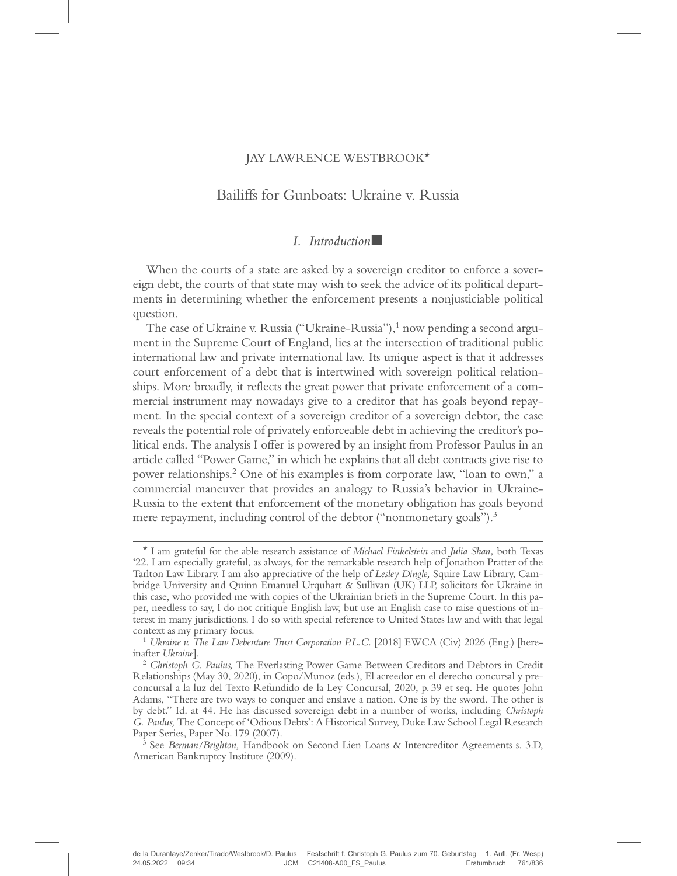# JAY LAWRENCE WESTBROOK\*

# Bailiffs for Gunboats: Ukraine v. Russia

## $I.$  Introduction $\blacksquare$

When the courts of a state are asked by a sovereign creditor to enforce a sovereign debt, the courts of that state may wish to seek the advice of its political departments in determining whether the enforcement presents a nonjusticiable political question.

The case of Ukraine v. Russia ("Ukraine-Russia"),<sup>1</sup> now pending a second argument in the Supreme Court of England, lies at the intersection of traditional public international law and private international law. Its unique aspect is that it addresses court enforcement of a debt that is intertwined with sovereign political relationships. More broadly, it reflects the great power that private enforcement of a commercial instrument may nowadays give to a creditor that has goals beyond repayment. In the special context of a sovereign creditor of a sovereign debtor, the case reveals the potential role of privately enforceable debt in achieving the creditor's political ends. The analysis I offer is powered by an insight from Professor Paulus in an article called "Power Game," in which he explains that all debt contracts give rise to power relationships.2 One of his examples is from corporate law, "loan to own," a commercial maneuver that provides an analogy to Russia's behavior in Ukraine-Russia to the extent that enforcement of the monetary obligation has goals beyond mere repayment, including control of the debtor ("nonmonetary goals").<sup>3</sup>

<sup>\*</sup> I am grateful for the able research assistance of Michael Finkelstein and Julia Shan, both Texas '22. I am especially grateful, as always, for the remarkable research help of Jonathon Pratter of the Tarlton Law Library. I am also appreciative of the help of Lesley Dingle, Squire Law Library, Cambridge University and Quinn Emanuel Urquhart & Sullivan (UK) LLP, solicitors for Ukraine in this case, who provided me with copies of the Ukrainian briefs in the Supreme Court. In this paper, needless to say, I do not critique English law, but use an English case to raise questions of interest in many jurisdictions. I do so with special reference to United States law and with that legal

<sup>&</sup>lt;sup>1</sup> Ukraine v. The Law Debenture Trust Corporation P.L.C. [2018] EWCA (Civ) 2026 (Eng.) [hereinafter Ukraine].<br><sup>2</sup> Christoph G. Paulus, The Everlasting Power Game Between Creditors and Debtors in Credit

Relationships (May 30, 2020), in Copo/Munoz (eds.), El acreedor en el derecho concursal y preconcursal a la luz del Texto Refundido de la Ley Concursal, 2020, p. 39 et seq. He quotes John Adams, "There are two ways to conquer and enslave a nation. One is by the sword. The other is by debt." Id. at 44. He has discussed sovereign debt in a number of works, including Christoph G. Paulus, The Concept of 'Odious Debts': A Historical Survey, Duke Law School Legal Research Paper Series, Paper No. 179 (2007).<br><sup>3</sup> See *Berman/Brighton*, Handbook on Second Lien Loans & Intercreditor Agreements s. 3.D,

American Bankruptcy Institute (2009).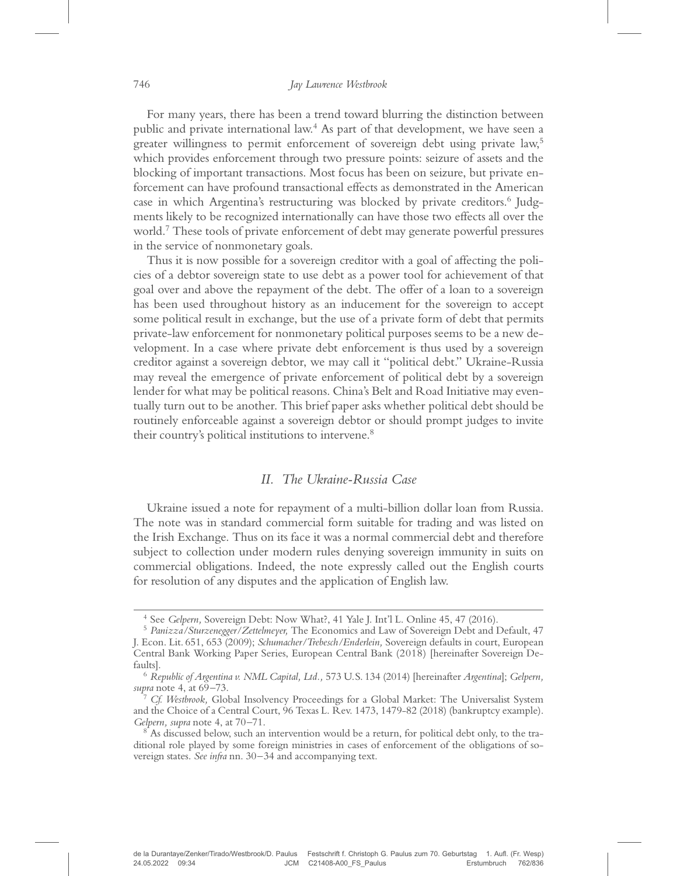For many years, there has been a trend toward blurring the distinction between public and private international law.4 As part of that development, we have seen a greater willingness to permit enforcement of sovereign debt using private law,<sup>5</sup> which provides enforcement through two pressure points: seizure of assets and the blocking of important transactions. Most focus has been on seizure, but private enforcement can have profound transactional effects as demonstrated in the American case in which Argentina's restructuring was blocked by private creditors.<sup>6</sup> Judgments likely to be recognized internationally can have those two effects all over the world.7 These tools of private enforcement of debt may generate powerful pressures in the service of nonmonetary goals.

Thus it is now possible for a sovereign creditor with a goal of affecting the policies of a debtor sovereign state to use debt as a power tool for achievement of that goal over and above the repayment of the debt. The offer of a loan to a sovereign has been used throughout history as an inducement for the sovereign to accept some political result in exchange, but the use of a private form of debt that permits private-law enforcement for nonmonetary political purposes seems to be a new development. In a case where private debt enforcement is thus used by a sovereign creditor against a sovereign debtor, we may call it "political debt." Ukraine-Russia may reveal the emergence of private enforcement of political debt by a sovereign lender for what may be political reasons. China's Belt and Road Initiative may eventually turn out to be another. This brief paper asks whether political debt should be routinely enforceable against a sovereign debtor or should prompt judges to invite their country's political institutions to intervene.<sup>8</sup>

## II. The Ukraine-Russia Case

Ukraine issued a note for repayment of a multi-billion dollar loan from Russia. The note was in standard commercial form suitable for trading and was listed on the Irish Exchange. Thus on its face it was a normal commercial debt and therefore subject to collection under modern rules denying sovereign immunity in suits on commercial obligations. Indeed, the note expressly called out the English courts for resolution of any disputes and the application of English law.

<sup>4</sup> See Gelpern, Sovereign Debt: Now What?, 41 Yale J. Int'l L. Online 45, 47 (2016). <sup>5</sup> Panizza/Sturzenegger/Zettelmeyer, The Economics and Law of Sovereign Debt and Default, 47 J. Econ. Lit. 651, 653 (2009); Schumacher/Trebesch/Enderlein, Sovereign defaults in court, European Central Bank Working Paper Series, European Central Bank (2018) [hereinafter Sovereign Defaults]. <sup>6</sup> Republic of Argentina v. NML Capital, Ltd., 573 U.S. 134 (2014) [hereinafter Argentina]; Gelpern,

supra note 4, at 69–73.<br><sup>7</sup> Cf. Westbrook, Global Insolvency Proceedings for a Global Market: The Universalist System

and the Choice of a Central Court, 96 Texas L. Rev. 1473, 1479-82 (2018) (bankruptcy example). Gelpern, supra note 4, at 70–71.

 $^8$  As discussed below, such an intervention would be a return, for political debt only, to the traditional role played by some foreign ministries in cases of enforcement of the obligations of sovereign states. See infra nn. 30–34 and accompanying text.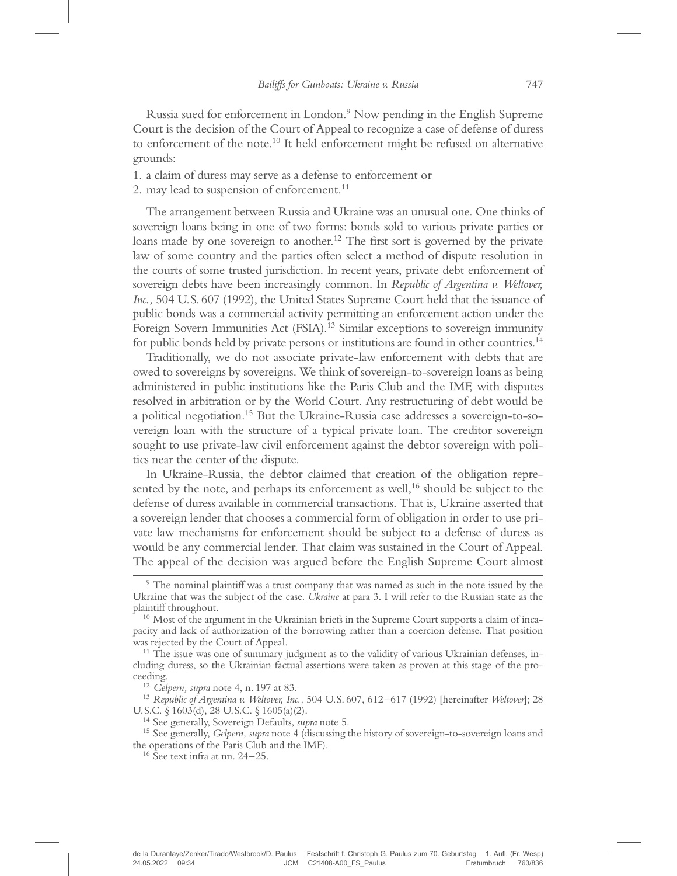Russia sued for enforcement in London.9 Now pending in the English Supreme Court is the decision of the Court of Appeal to recognize a case of defense of duress to enforcement of the note.<sup>10</sup> It held enforcement might be refused on alternative grounds:

1. a claim of duress may serve as a defense to enforcement or

2. may lead to suspension of enforcement.<sup>11</sup>

The arrangement between Russia and Ukraine was an unusual one. One thinks of sovereign loans being in one of two forms: bonds sold to various private parties or loans made by one sovereign to another.<sup>12</sup> The first sort is governed by the private law of some country and the parties often select a method of dispute resolution in the courts of some trusted jurisdiction. In recent years, private debt enforcement of sovereign debts have been increasingly common. In Republic of Argentina v. Weltover, Inc., 504 U.S. 607 (1992), the United States Supreme Court held that the issuance of public bonds was a commercial activity permitting an enforcement action under the Foreign Sovern Immunities Act (FSIA).<sup>13</sup> Similar exceptions to sovereign immunity for public bonds held by private persons or institutions are found in other countries.<sup>14</sup>

Traditionally, we do not associate private-law enforcement with debts that are owed to sovereigns by sovereigns. We think of sovereign-to-sovereign loans as being administered in public institutions like the Paris Club and the IMF, with disputes resolved in arbitration or by the World Court. Any restructuring of debt would be a political negotiation.15 But the Ukraine-Russia case addresses a sovereign-to-sovereign loan with the structure of a typical private loan. The creditor sovereign sought to use private-law civil enforcement against the debtor sovereign with politics near the center of the dispute.

In Ukraine-Russia, the debtor claimed that creation of the obligation represented by the note, and perhaps its enforcement as well,<sup>16</sup> should be subject to the defense of duress available in commercial transactions. That is, Ukraine asserted that a sovereign lender that chooses a commercial form of obligation in order to use private law mechanisms for enforcement should be subject to a defense of duress as would be any commercial lender. That claim was sustained in the Court of Appeal. The appeal of the decision was argued before the English Supreme Court almost

ceeding.<br><sup>12</sup> Gelpern, supra note 4, n. 197 at 83.<br><sup>13</sup> Republic of Argentina v. Weltover, Inc., 504 U.S. 607, 612–617 (1992) [hereinafter Weltover]; 28<br>U.S.C. § 1603(d), 28 U.S.C. § 1605(a)(2).

<sup>9</sup> The nominal plaintiff was a trust company that was named as such in the note issued by the Ukraine that was the subject of the case. Ukraine at para 3. I will refer to the Russian state as the plaintiff throughout.

 $10$  Most of the argument in the Ukrainian briefs in the Supreme Court supports a claim of incapacity and lack of authorization of the borrowing rather than a coercion defense. That position was rejected by the Court of Appeal.<br><sup>11</sup> The issue was one of summary judgment as to the validity of various Ukrainian defenses, in-

cluding duress, so the Ukrainian factual assertions were taken as proven at this stage of the pro-

<sup>&</sup>lt;sup>14</sup> See generally, Sovereign Defaults, *supra* note 5.<br><sup>15</sup> See generally, Gelpern, supra note 4 (discussing the history of sovereign-to-sovereign loans and the operations of the Paris Club and the IMF). <sup>16</sup> See text infra at nn. 24–25.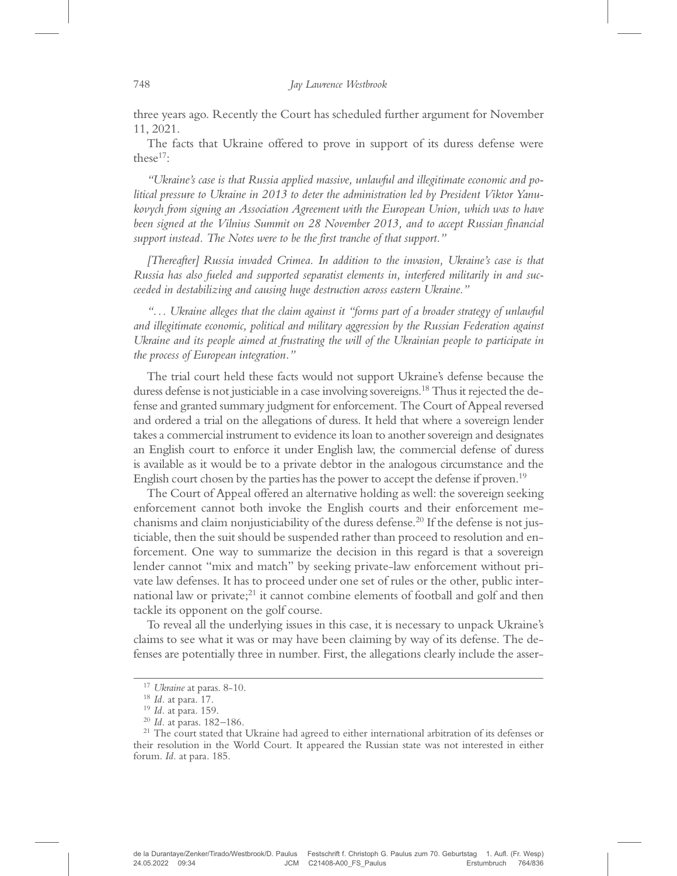three years ago. Recently the Court has scheduled further argument for November 11, 2021.

The facts that Ukraine offered to prove in support of its duress defense were these $17$ :

"Ukraine's case is that Russia applied massive, unlawful and illegitimate economic and political pressure to Ukraine in 2013 to deter the administration led by President Viktor Yanukovych from signing an Association Agreement with the European Union, which was to have been signed at the Vilnius Summit on 28 November 2013, and to accept Russian financial support instead. The Notes were to be the first tranche of that support."

[Thereafter] Russia invaded Crimea. In addition to the invasion, Ukraine's case is that Russia has also fueled and supported separatist elements in, interfered militarily in and succeeded in destabilizing and causing huge destruction across eastern Ukraine."

"... Ukraine alleges that the claim against it "forms part of a broader strategy of unlawful and illegitimate economic, political and military aggression by the Russian Federation against Ukraine and its people aimed at frustrating the will of the Ukrainian people to participate in the process of European integration."

The trial court held these facts would not support Ukraine's defense because the duress defense is not justiciable in a case involving sovereigns.<sup>18</sup> Thus it rejected the defense and granted summary judgment for enforcement. The Court of Appeal reversed and ordered a trial on the allegations of duress. It held that where a sovereign lender takes a commercial instrument to evidence its loan to another sovereign and designates an English court to enforce it under English law, the commercial defense of duress is available as it would be to a private debtor in the analogous circumstance and the English court chosen by the parties has the power to accept the defense if proven.19

The Court of Appeal offered an alternative holding as well: the sovereign seeking enforcement cannot both invoke the English courts and their enforcement mechanisms and claim nonjusticiability of the duress defense.<sup>20</sup> If the defense is not justiciable, then the suit should be suspended rather than proceed to resolution and enforcement. One way to summarize the decision in this regard is that a sovereign lender cannot "mix and match" by seeking private-law enforcement without private law defenses. It has to proceed under one set of rules or the other, public international law or private; $^{21}$  it cannot combine elements of football and golf and then tackle its opponent on the golf course.

To reveal all the underlying issues in this case, it is necessary to unpack Ukraine's claims to see what it was or may have been claiming by way of its defense. The defenses are potentially three in number. First, the allegations clearly include the asser-

de la Durantaye/Zenker/Tirado/Westbrook/D. Paulus Festschrift f. Christoph G. Paulus zum 70. Geburtstag 1. Aufl. (Fr. Wesp) 24.05.2022 09:34 JCM C21408-A00\_FS\_Paulus Erstumbruch 764/836

<sup>&</sup>lt;sup>17</sup> Ukraine at paras. 8-10.<br><sup>18</sup> Id. at para. 17.<br><sup>19</sup> Id. at para. 159.<br><sup>20</sup> Id. at paras. 182–186.<br><sup>21</sup> The court stated that Ukraine had agreed to either international arbitration of its defenses or their resolution in the World Court. It appeared the Russian state was not interested in either forum. Id. at para. 185.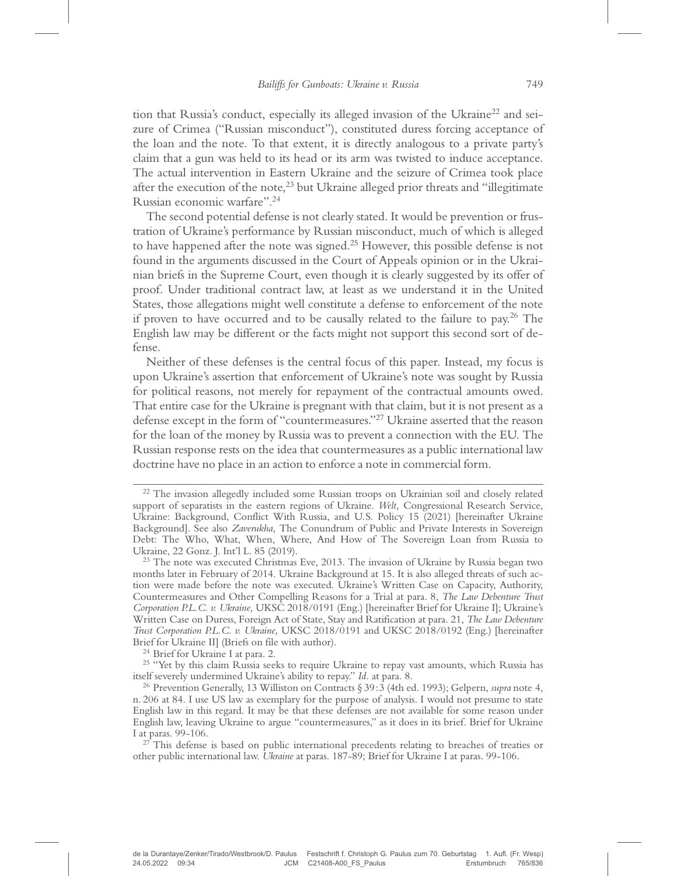tion that Russia's conduct, especially its alleged invasion of the Ukraine<sup>22</sup> and seizure of Crimea ("Russian misconduct"), constituted duress forcing acceptance of the loan and the note. To that extent, it is directly analogous to a private party's claim that a gun was held to its head or its arm was twisted to induce acceptance. The actual intervention in Eastern Ukraine and the seizure of Crimea took place after the execution of the note, $^{23}$  but Ukraine alleged prior threats and "illegitimate Russian economic warfare". 24

The second potential defense is not clearly stated. It would be prevention or frustration of Ukraine's performance by Russian misconduct, much of which is alleged to have happened after the note was signed.<sup>25</sup> However, this possible defense is not found in the arguments discussed in the Court of Appeals opinion or in the Ukrainian briefs in the Supreme Court, even though it is clearly suggested by its offer of proof. Under traditional contract law, at least as we understand it in the United States, those allegations might well constitute a defense to enforcement of the note if proven to have occurred and to be causally related to the failure to pay.<sup>26</sup> The English law may be different or the facts might not support this second sort of defense.

Neither of these defenses is the central focus of this paper. Instead, my focus is upon Ukraine's assertion that enforcement of Ukraine's note was sought by Russia for political reasons, not merely for repayment of the contractual amounts owed. That entire case for the Ukraine is pregnant with that claim, but it is not present as a defense except in the form of "countermeasures."<sup>27</sup> Ukraine asserted that the reason for the loan of the money by Russia was to prevent a connection with the EU. The Russian response rests on the idea that countermeasures as a public international law doctrine have no place in an action to enforce a note in commercial form.

Brief for Ukraine II] (Briefs on file with author).<br><sup>24</sup> Brief for Ukraine I at para. 2.<br><sup>25</sup> "Yet by this claim Russia seeks to require Ukraine to repay vast amounts, which Russia has<br>itself severely undermined Ukraine's

<sup>&</sup>lt;sup>22</sup> The invasion allegedly included some Russian troops on Ukrainian soil and closely related support of separatists in the eastern regions of Ukraine. Welt, Congressional Research Service, Ukraine: Background, Conflict With Russia, and U.S. Policy 15 (2021) [hereinafter Ukraine Background]. See also Zaverukha, The Conundrum of Public and Private Interests in Sovereign Debt: The Who, What, When, Where, And How of The Sovereign Loan from Russia to Ukraine, 22 Gonz. J. Int'l L. 85 (2019).<br><sup>23</sup> The note was executed Christmas Eve, 2013. The invasion of Ukraine by Russia began two

months later in February of 2014. Ukraine Background at 15. It is also alleged threats of such action were made before the note was executed. Ukraine's Written Case on Capacity, Authority, Countermeasures and Other Compelling Reasons for a Trial at para. 8, The Law Debenture Trust Corporation P.L.C. v. Ukraine, UKSC 2018/0191 (Eng.) [hereinafter Brief for Ukraine I]; Ukraine's Written Case on Duress, Foreign Act of State, Stay and Ratification at para. 21, The Law Debenture Trust Corporation P.L.C. v. Ukraine, UKSC 2018/0191 and UKSC 2018/0192 (Eng.) [hereinafter

<sup>&</sup>lt;sup>26</sup> Prevention Generally, 13 Williston on Contracts § 39:3 (4th ed. 1993); Gelpern, supra note 4, n. 206 at 84. I use US law as exemplary for the purpose of analysis. I would not presume to state English law in this regard. It may be that these defenses are not available for some reason under English law, leaving Ukraine to argue "countermeasures," as it does in its brief. Brief for Ukraine I at paras. 99-106.<br><sup>27</sup> This defense is based on public international precedents relating to breaches of treaties or

other public international law. Ukraine at paras. 187-89; Brief for Ukraine I at paras. 99-106.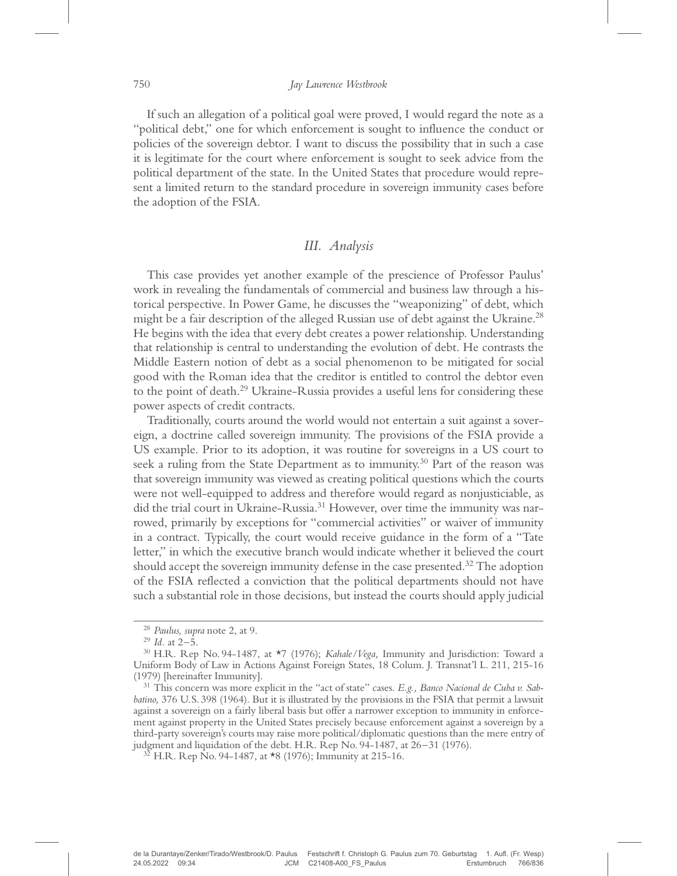If such an allegation of a political goal were proved, I would regard the note as a "political debt," one for which enforcement is sought to influence the conduct or policies of the sovereign debtor. I want to discuss the possibility that in such a case it is legitimate for the court where enforcement is sought to seek advice from the political department of the state. In the United States that procedure would represent a limited return to the standard procedure in sovereign immunity cases before the adoption of the FSIA.

# III. Analysis

This case provides yet another example of the prescience of Professor Paulus' work in revealing the fundamentals of commercial and business law through a historical perspective. In Power Game, he discusses the "weaponizing" of debt, which might be a fair description of the alleged Russian use of debt against the Ukraine.<sup>28</sup> He begins with the idea that every debt creates a power relationship. Understanding that relationship is central to understanding the evolution of debt. He contrasts the Middle Eastern notion of debt as a social phenomenon to be mitigated for social good with the Roman idea that the creditor is entitled to control the debtor even to the point of death.29 Ukraine-Russia provides a useful lens for considering these power aspects of credit contracts.

Traditionally, courts around the world would not entertain a suit against a sovereign, a doctrine called sovereign immunity. The provisions of the FSIA provide a US example. Prior to its adoption, it was routine for sovereigns in a US court to seek a ruling from the State Department as to immunity.<sup>30</sup> Part of the reason was that sovereign immunity was viewed as creating political questions which the courts were not well-equipped to address and therefore would regard as nonjusticiable, as did the trial court in Ukraine-Russia.<sup>31</sup> However, over time the immunity was narrowed, primarily by exceptions for "commercial activities" or waiver of immunity in a contract. Typically, the court would receive guidance in the form of a "Tate letter," in which the executive branch would indicate whether it believed the court should accept the sovereign immunity defense in the case presented.<sup>32</sup> The adoption of the FSIA reflected a conviction that the political departments should not have such a substantial role in those decisions, but instead the courts should apply judicial

<sup>&</sup>lt;sup>28</sup> Paulus, supra note 2, at 9.<br><sup>29</sup> Id. at 2–5.<br><sup>30</sup> H.R. Rep No. 94-1487, at \*7 (1976); *Kahale/Vega*, Immunity and Jurisdiction: Toward a Uniform Body of Law in Actions Against Foreign States, 18 Colum. J. Transnat'l L. 211, 215-16

 $19731$  This concern was more explicit in the "act of state" cases. E.g., Banco Nacional de Cuba v. Sabbatino, 376 U.S. 398 (1964). But it is illustrated by the provisions in the FSIA that permit a lawsuit against a sovereign on a fairly liberal basis but offer a narrower exception to immunity in enforcement against property in the United States precisely because enforcement against a sovereign by a third-party sovereign's courts may raise more political/diplomatic questions than the mere entry of judgment and liquidation of the debt. H.R. Rep No. 94-1487, at 26–31 (1976). <sup>32</sup> H.R. Rep No. 94-1487, at \*8 (1976); Immunity at 215-16.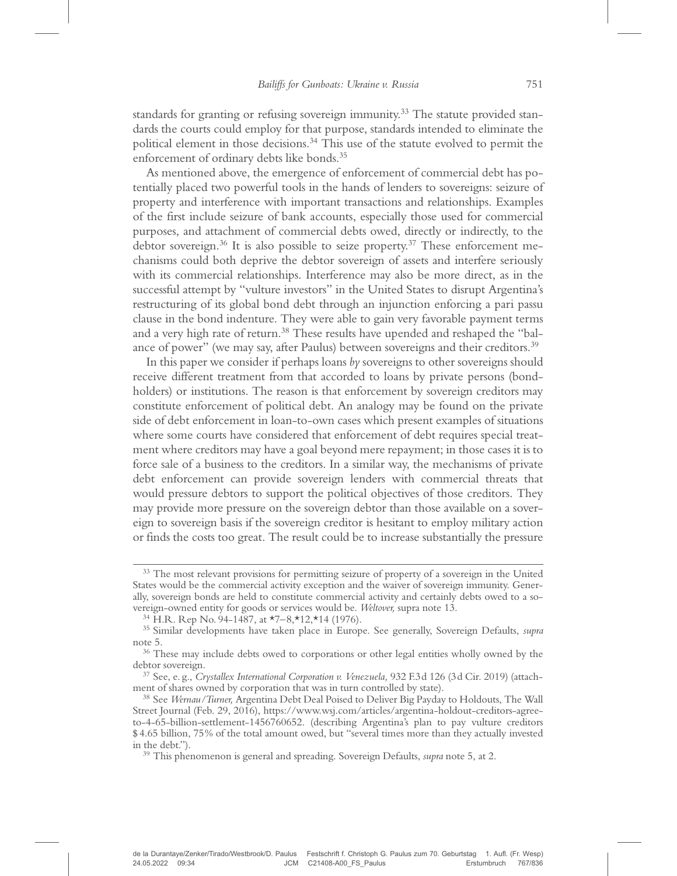standards for granting or refusing sovereign immunity.<sup>33</sup> The statute provided standards the courts could employ for that purpose, standards intended to eliminate the political element in those decisions.<sup>34</sup> This use of the statute evolved to permit the enforcement of ordinary debts like bonds.<sup>35</sup>

As mentioned above, the emergence of enforcement of commercial debt has potentially placed two powerful tools in the hands of lenders to sovereigns: seizure of property and interference with important transactions and relationships. Examples of the first include seizure of bank accounts, especially those used for commercial purposes, and attachment of commercial debts owed, directly or indirectly, to the debtor sovereign.<sup>36</sup> It is also possible to seize property.<sup>37</sup> These enforcement mechanisms could both deprive the debtor sovereign of assets and interfere seriously with its commercial relationships. Interference may also be more direct, as in the successful attempt by "vulture investors" in the United States to disrupt Argentina's restructuring of its global bond debt through an injunction enforcing a pari passu clause in the bond indenture. They were able to gain very favorable payment terms and a very high rate of return.<sup>38</sup> These results have upended and reshaped the "balance of power" (we may say, after Paulus) between sovereigns and their creditors.<sup>39</sup>

In this paper we consider if perhaps loans by sovereigns to other sovereigns should receive different treatment from that accorded to loans by private persons (bondholders) or institutions. The reason is that enforcement by sovereign creditors may constitute enforcement of political debt. An analogy may be found on the private side of debt enforcement in loan-to-own cases which present examples of situations where some courts have considered that enforcement of debt requires special treatment where creditors may have a goal beyond mere repayment; in those cases it is to force sale of a business to the creditors. In a similar way, the mechanisms of private debt enforcement can provide sovereign lenders with commercial threats that would pressure debtors to support the political objectives of those creditors. They may provide more pressure on the sovereign debtor than those available on a sovereign to sovereign basis if the sovereign creditor is hesitant to employ military action or finds the costs too great. The result could be to increase substantially the pressure

<sup>&</sup>lt;sup>33</sup> The most relevant provisions for permitting seizure of property of a sovereign in the United States would be the commercial activity exception and the waiver of sovereign immunity. Generally, sovereign bonds are held to constitute commercial activity and certainly debts owed to a so-<br>vereign-owned entity for goods or services would be. Weltover, supra note 13.

<sup>&</sup>lt;sup>34</sup> H.R. Rep No. 94-1487, at \*7–8,\*12,\*14 (1976).<br><sup>35</sup> Similar developments have taken place in Europe. See generally, Sovereign Defaults, *supra* note 5.<br><sup>36</sup> These may include debts owed to corporations or other legal entities wholly owned by the

debtor sovereign.<br><sup>37</sup> See, e. g., *Crystallex International Corporation v. Venezuela*, 932 F.3d 126 (3d Cir. 2019) (attach-

ment of shares owned by corporation that was in turn controlled by state).<br><sup>38</sup> See *Wernau/Turner, Argentina Debt Deal Poised to Deliver Big Payday to Holdouts, The Wall* 

Street Journal (Feb. 29, 2016), https://www.wsj.com/articles/argentina-holdout-creditors-agreeto-4-65-billion-settlement-1456760652. (describing Argentina's plan to pay vulture creditors \$ 4.65 billion, 75% of the total amount owed, but "several times more than they actually invested in the debt.").  $39$  This phenomenon is general and spreading. Sovereign Defaults, *supra* note 5, at 2.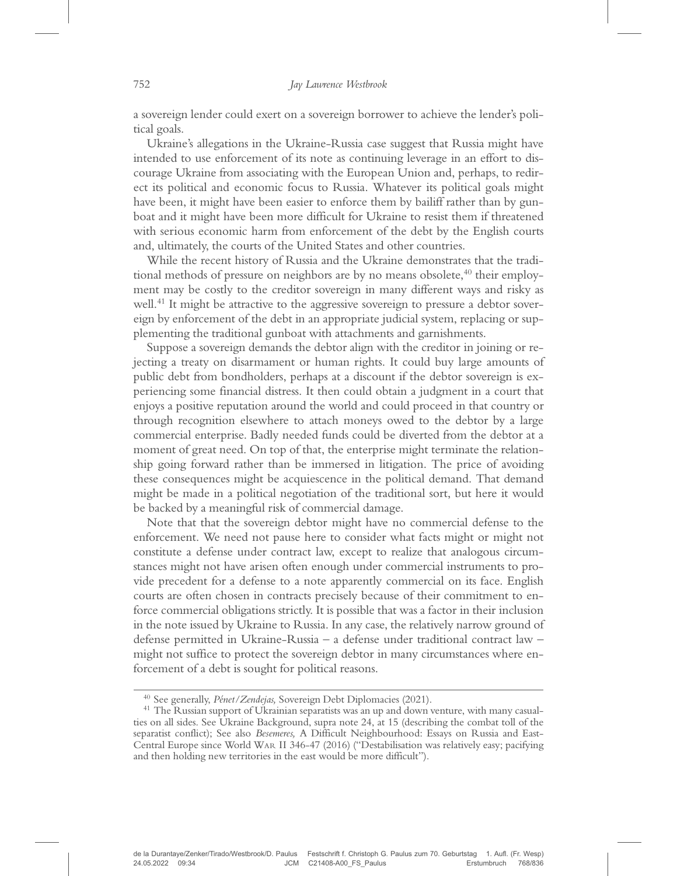a sovereign lender could exert on a sovereign borrower to achieve the lender's political goals.

Ukraine's allegations in the Ukraine-Russia case suggest that Russia might have intended to use enforcement of its note as continuing leverage in an effort to discourage Ukraine from associating with the European Union and, perhaps, to redirect its political and economic focus to Russia. Whatever its political goals might have been, it might have been easier to enforce them by bailiff rather than by gunboat and it might have been more difficult for Ukraine to resist them if threatened with serious economic harm from enforcement of the debt by the English courts and, ultimately, the courts of the United States and other countries.

While the recent history of Russia and the Ukraine demonstrates that the traditional methods of pressure on neighbors are by no means obsolete, $40$  their employment may be costly to the creditor sovereign in many different ways and risky as well.<sup>41</sup> It might be attractive to the aggressive sovereign to pressure a debtor sovereign by enforcement of the debt in an appropriate judicial system, replacing or supplementing the traditional gunboat with attachments and garnishments.

Suppose a sovereign demands the debtor align with the creditor in joining or rejecting a treaty on disarmament or human rights. It could buy large amounts of public debt from bondholders, perhaps at a discount if the debtor sovereign is experiencing some financial distress. It then could obtain a judgment in a court that enjoys a positive reputation around the world and could proceed in that country or through recognition elsewhere to attach moneys owed to the debtor by a large commercial enterprise. Badly needed funds could be diverted from the debtor at a moment of great need. On top of that, the enterprise might terminate the relationship going forward rather than be immersed in litigation. The price of avoiding these consequences might be acquiescence in the political demand. That demand might be made in a political negotiation of the traditional sort, but here it would be backed by a meaningful risk of commercial damage.

Note that that the sovereign debtor might have no commercial defense to the enforcement. We need not pause here to consider what facts might or might not constitute a defense under contract law, except to realize that analogous circumstances might not have arisen often enough under commercial instruments to provide precedent for a defense to a note apparently commercial on its face. English courts are often chosen in contracts precisely because of their commitment to enforce commercial obligations strictly. It is possible that was a factor in their inclusion in the note issued by Ukraine to Russia. In any case, the relatively narrow ground of defense permitted in Ukraine-Russia – a defense under traditional contract law – might not suffice to protect the sovereign debtor in many circumstances where enforcement of a debt is sought for political reasons.

<sup>&</sup>lt;sup>40</sup> See generally, *Pénet/Zendejas*, Sovereign Debt Diplomacies (2021).<br><sup>41</sup> The Russian support of Ukrainian separatists was an up and down venture, with many casualties on all sides. See Ukraine Background, supra note 24, at 15 (describing the combat toll of the separatist conflict); See also Besemeres, A Difficult Neighbourhood: Essays on Russia and East-Central Europe since World WAR II 346-47 (2016) ("Destabilisation was relatively easy; pacifying and then holding new territories in the east would be more difficult").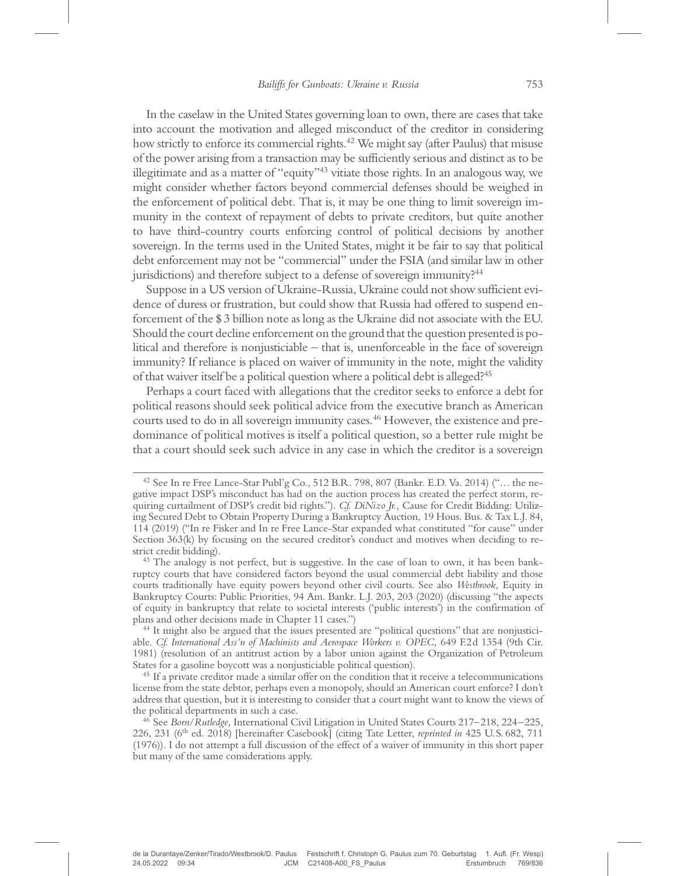In the caselaw in the United States governing loan to own, there are cases that take into account the motivation and alleged misconduct of the creditor in considering how strictly to enforce its commercial rights.<sup>42</sup> We might say (after Paulus) that misuse of the power arising from a transaction may be sufficiently serious and distinct as to be illegitimate and as a matter of "equity"<sup>43</sup> vitiate those rights. In an analogous way, we might consider whether factors beyond commercial defenses should be weighed in the enforcement of political debt. That is, it may be one thing to limit sovereign immunity in the context of repayment of debts to private creditors, but quite another to have third-country courts enforcing control of political decisions by another sovereign. In the terms used in the United States, might it be fair to say that political debt enforcement may not be "commercial" under the FSIA (and similar law in other jurisdictions) and therefore subject to a defense of sovereign immunity?<sup>44</sup>

Suppose in a US version of Ukraine-Russia, Ukraine could not show sufficient evidence of duress or frustration, but could show that Russia had offered to suspend enforcement of the \$ 3 billion note as long as the Ukraine did not associate with the EU. Should the court decline enforcement on the ground that the question presented is political and therefore is nonjusticiable – that is, unenforceable in the face of sovereign immunity? If reliance is placed on waiver of immunity in the note, might the validity of that waiver itself be a political question where a political debt is alleged?45

Perhaps a court faced with allegations that the creditor seeks to enforce a debt for political reasons should seek political advice from the executive branch as American courts used to do in all sovereign immunity cases.<sup>46</sup> However, the existence and predominance of political motives is itself a political question, so a better rule might be that a court should seek such advice in any case in which the creditor is a sovereign

 $42$  See In re Free Lance-Star Publ'g Co., 512 B.R. 798, 807 (Bankr. E.D. Va. 2014) ("... the negative impact DSP's misconduct has had on the auction process has created the perfect storm, requiring curtailment of DSP's credit bid rights."). Cf. DiNizo Jr., Cause for Credit Bidding: Utilizing Secured Debt to Obtain Property During a Bankruptcy Auction, 19 Hous. Bus. & Tax L.J. 84, 114 (2019) ("In re Fisker and In re Free Lance-Star expanded what constituted "for cause" under Section 363(k) by focusing on the secured creditor's conduct and motives when deciding to restrict credit bidding).<br><sup>43</sup> The analogy is not perfect, but is suggestive. In the case of loan to own, it has been bank-

ruptcy courts that have considered factors beyond the usual commercial debt liability and those courts traditionally have equity powers beyond other civil courts. See also Westbrook, Equity in Bankruptcy Courts: Public Priorities, 94 Am. Bankr. L.J. 203, 203 (2020) (discussing "the aspects of equity in bankruptcy that relate to societal interests ('public interests') in the confirmation of

<sup>&</sup>lt;sup>44</sup> It might also be argued that the issues presented are "political questions" that are nonjusticiable. Cf. International Ass'n of Machinists and Aerospace Workers v. OPEC, 649 F.2d 1354 (9th Cir. 1981) (resolution of an antitrust action by a labor union against the Organization of Petroleum States for a gasoline boycott was a nonjusticiable political question). <sup>45</sup> If a private creditor made a similar offer on the condition that it receive a telecommunications

license from the state debtor, perhaps even a monopoly, should an American court enforce? I don't address that question, but it is interesting to consider that a court might want to know the views of the political departments in such a case.<br><sup>46</sup> See *Born/Rutledge*, International Civil Litigation in United States Courts 217–218, 224–225,

<sup>226, 231 (6&</sup>lt;sup>th</sup> ed. 2018) [hereinafter Casebook] (citing Tate Letter, *reprinted in* 425 U.S. 682, 711 (1976)). I do not attempt a full discussion of the effect of a waiver of immunity in this short paper but many of the same considerations apply.